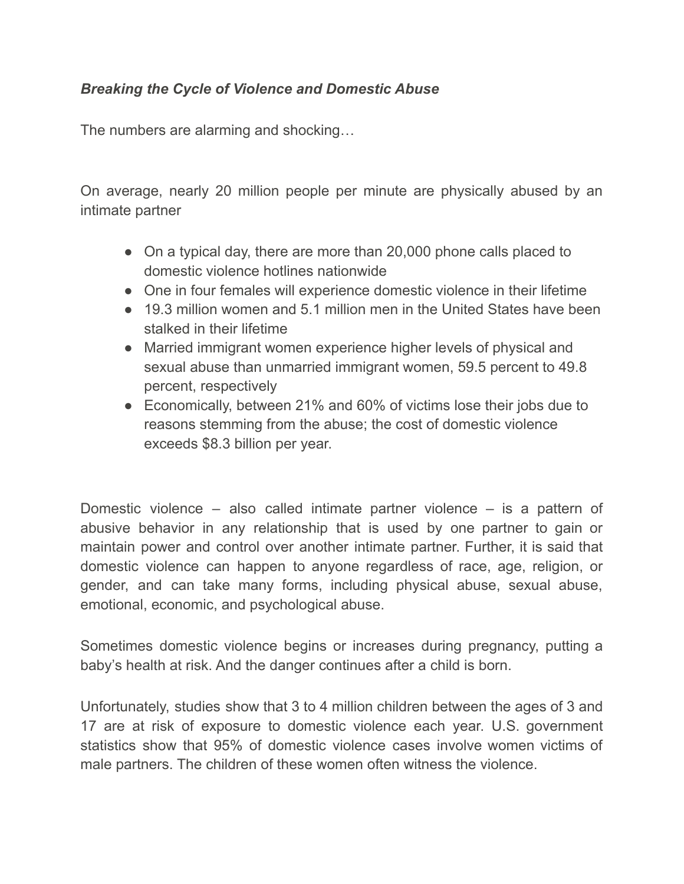## *Breaking the Cycle of Violence and Domestic Abuse*

The numbers are alarming and shocking…

On average, nearly 20 million people per minute are physically abused by an intimate partner

- On a typical day, there are more than 20,000 phone calls placed to domestic violence hotlines nationwide
- One in four females will experience domestic violence in their lifetime
- 19.3 million women and 5.1 million men in the United States have been stalked in their lifetime
- Married immigrant women experience higher levels of physical and sexual abuse than unmarried immigrant women, 59.5 percent to 49.8 percent, respectively
- Economically, between 21% and 60% of victims lose their jobs due to reasons stemming from the abuse; the cost of domestic violence exceeds \$8.3 billion per year.

Domestic violence – also called intimate partner violence – is a pattern of abusive behavior in any relationship that is used by one partner to gain or maintain power and control over another intimate partner. Further, it is said that domestic violence can happen to anyone regardless of race, age, religion, or gender, and can take many forms, including physical abuse, sexual abuse, emotional, economic, and psychological abuse.

Sometimes domestic violence begins or increases during pregnancy, putting a baby's health at risk. And the danger continues after a child is born.

Unfortunately, studies show that 3 to 4 million children between the ages of 3 and 17 are at risk of exposure to domestic violence each year. U.S. government statistics show that 95% of domestic violence cases involve women victims of male partners. The children of these women often witness the violence.